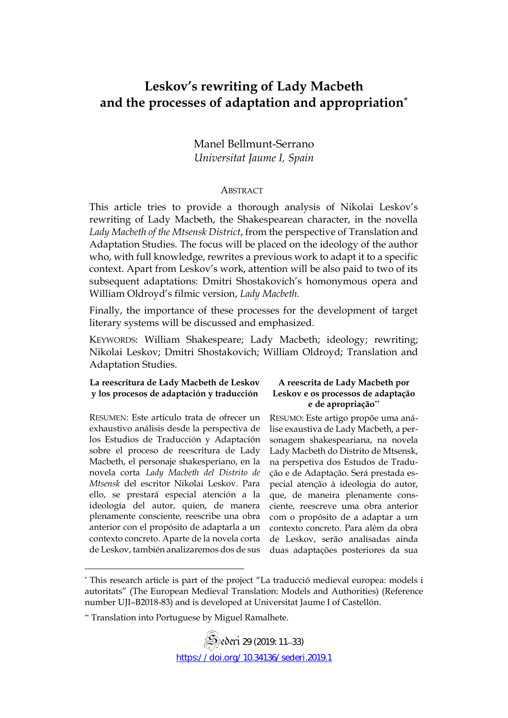# **Leskov's rewriting of Lady Macbeth and the processes of adaptation and appropriation\***

Manel Bellmunt-Serrano *Universitat Jaume I, Spain*

#### **ABSTRACT**

This article tries to provide a thorough analysis of Nikolai Leskov's rewriting of Lady Macbeth, the Shakespearean character, in the novella *Lady Macbeth of the Mtsensk District*, from the perspective of Translation and Adaptation Studies. The focus will be placed on the ideology of the author who, with full knowledge, rewrites a previous work to adapt it to a specific context. Apart from Leskov's work, attention will be also paid to two of its subsequent adaptations: Dmitri Shostakovich's homonymous opera and William Oldroyd's filmic version, *Lady Macbeth.* 

Finally, the importance of these processes for the development of target literary systems will be discussed and emphasized.

KEYWORDS: William Shakespeare; Lady Macbeth; ideology; rewriting; Nikolai Leskov; Dmitri Shostakovich; William Oldroyd; Translation and Adaptation Studies.

#### **La reescritura de Lady Macbeth de Leskov y los procesos de adaptación y traducción**

RESUMEN: Este artículo trata de ofrecer un exhaustivo análisis desde la perspectiva de los Estudios de Traducción y Adaptación sobre el proceso de reescritura de Lady Macbeth, el personaje shakesperiano, en la novela corta *Lady Macbeth del Distrito de Mtsensk* del escritor Nikolai Leskov. Para ello, se prestará especial atención a la ideología del autor, quien, de manera plenamente consciente, reescribe una obra anterior con el propósito de adaptarla a un contexto concreto. Aparte de la novela corta de Leskov, también analizaremos dos de sus

 $\overline{a}$ 

#### **A reescrita de Lady Macbeth por Leskov e os processos de adaptação e de apropriação\*\***

RESUMO: Este artigo propõe uma análise exaustiva de Lady Macbeth, a personagem shakespeariana, na novela Lady Macbeth do Distrito de Mtsensk, na perspetiva dos Estudos de Tradução e de Adaptação. Será prestada especial atenção à ideologia do autor, que, de maneira plenamente consciente, reescreve uma obra anterior com o propósito de a adaptar a um contexto concreto. Para além da obra de Leskov, serão analisadas ainda duas adaptações posteriores da sua

<sup>\*</sup> This research article is part of the project "La traducció medieval europea: models i autoritats" (The European Medieval Translation: Models and Authorities) (Reference number UJI–B2018-83) and is developed at Universitat Jaume I of Castellón.

<sup>\*\*</sup> Translation into Portuguese by Miguel Ramalhete.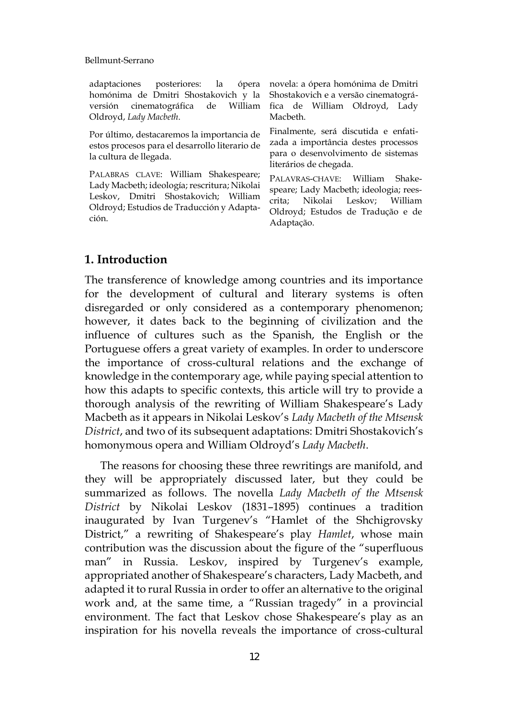adaptaciones posteriores: la ópera novela: a ópera homónima de Dmitri homónima de Dmitri Shostakovich y la Shostakovich e a versão cinematográversión cinematográfica de William Oldroyd, *Lady Macbeth*.

Por último, destacaremos la importancia de estos procesos para el desarrollo literario de la cultura de llegada.

PALABRAS CLAVE: William Shakespeare; Lady Macbeth; ideología; rescritura; Nikolai Leskov, Dmitri Shostakovich; William Oldroyd; Estudios de Traducción y Adaptación.

fica de William Oldroyd, Lady Macbeth.

Finalmente, será discutida e enfatizada a importância destes processos para o desenvolvimento de sistemas literários de chegada.

PALAVRAS-CHAVE: William Shakespeare; Lady Macbeth; ideologia; reescrita; Nikolai Leskov; William Oldroyd; Estudos de Tradução e de Adaptação.

### **1. Introduction**

The transference of knowledge among countries and its importance for the development of cultural and literary systems is often disregarded or only considered as a contemporary phenomenon; however, it dates back to the beginning of civilization and the influence of cultures such as the Spanish, the English or the Portuguese offers a great variety of examples. In order to underscore the importance of cross-cultural relations and the exchange of knowledge in the contemporary age, while paying special attention to how this adapts to specific contexts, this article will try to provide a thorough analysis of the rewriting of William Shakespeare's Lady Macbeth as it appears in Nikolai Leskov's *Lady Macbeth of the Mtsensk District*, and two of its subsequent adaptations: Dmitri Shostakovich's homonymous opera and William Oldroyd's *Lady Macbeth*.

The reasons for choosing these three rewritings are manifold, and they will be appropriately discussed later, but they could be summarized as follows. The novella *Lady Macbeth of the Mtsensk District* by Nikolai Leskov (1831–1895) continues a tradition inaugurated by Ivan Turgenev's "Hamlet of the Shchigrovsky District," a rewriting of Shakespeare's play *Hamlet*, whose main contribution was the discussion about the figure of the "superfluous man" in Russia. Leskov, inspired by Turgenev's example, appropriated another of Shakespeare's characters, Lady Macbeth, and adapted it to rural Russia in order to offer an alternative to the original work and, at the same time, a "Russian tragedy" in a provincial environment. The fact that Leskov chose Shakespeare's play as an inspiration for his novella reveals the importance of cross-cultural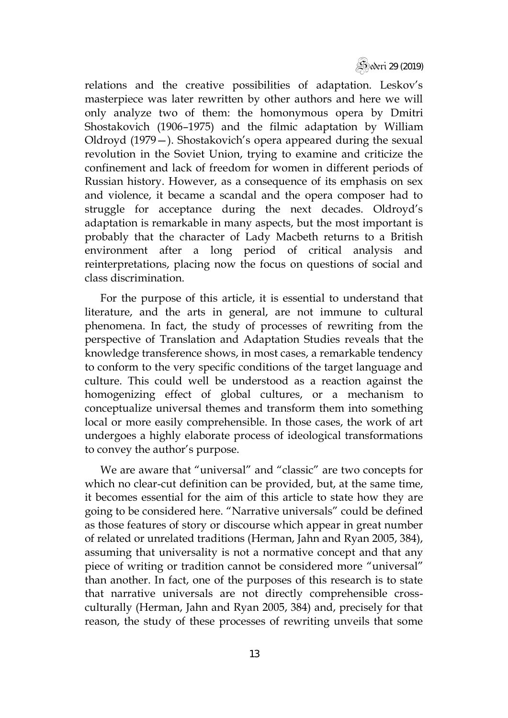Sederi 29 (2019)

relations and the creative possibilities of adaptation. Leskov's masterpiece was later rewritten by other authors and here we will only analyze two of them: the homonymous opera by Dmitri Shostakovich (1906–1975) and the filmic adaptation by William Oldroyd (1979—). Shostakovich's opera appeared during the sexual revolution in the Soviet Union, trying to examine and criticize the confinement and lack of freedom for women in different periods of Russian history. However, as a consequence of its emphasis on sex and violence, it became a scandal and the opera composer had to struggle for acceptance during the next decades. Oldroyd's adaptation is remarkable in many aspects, but the most important is probably that the character of Lady Macbeth returns to a British environment after a long period of critical analysis and reinterpretations, placing now the focus on questions of social and class discrimination.

For the purpose of this article, it is essential to understand that literature, and the arts in general, are not immune to cultural phenomena. In fact, the study of processes of rewriting from the perspective of Translation and Adaptation Studies reveals that the knowledge transference shows, in most cases, a remarkable tendency to conform to the very specific conditions of the target language and culture. This could well be understood as a reaction against the homogenizing effect of global cultures, or a mechanism to conceptualize universal themes and transform them into something local or more easily comprehensible. In those cases, the work of art undergoes a highly elaborate process of ideological transformations to convey the author's purpose.

We are aware that "universal" and "classic" are two concepts for which no clear-cut definition can be provided, but, at the same time, it becomes essential for the aim of this article to state how they are going to be considered here. "Narrative universals" could be defined as those features of story or discourse which appear in great number of related or unrelated traditions (Herman, Jahn and Ryan 2005, 384), assuming that universality is not a normative concept and that any piece of writing or tradition cannot be considered more "universal" than another. In fact, one of the purposes of this research is to state that narrative universals are not directly comprehensible crossculturally (Herman, Jahn and Ryan 2005, 384) and, precisely for that reason, the study of these processes of rewriting unveils that some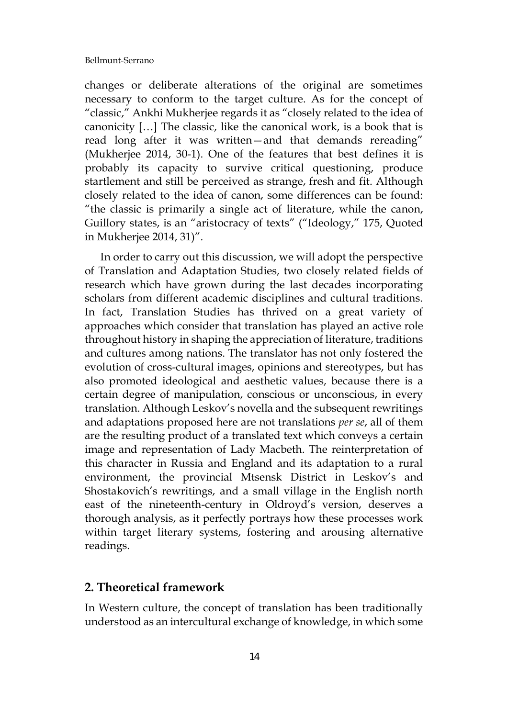changes or deliberate alterations of the original are sometimes necessary to conform to the target culture. As for the concept of "classic," Ankhi Mukherjee regards it as "closely related to the idea of canonicity […] The classic, like the canonical work, is a book that is read long after it was written—and that demands rereading" (Mukherjee 2014, 30-1). One of the features that best defines it is probably its capacity to survive critical questioning, produce startlement and still be perceived as strange, fresh and fit. Although closely related to the idea of canon, some differences can be found: "the classic is primarily a single act of literature, while the canon, Guillory states, is an "aristocracy of texts" ("Ideology," 175, Quoted in Mukherjee 2014, 31)".

In order to carry out this discussion, we will adopt the perspective of Translation and Adaptation Studies, two closely related fields of research which have grown during the last decades incorporating scholars from different academic disciplines and cultural traditions. In fact, Translation Studies has thrived on a great variety of approaches which consider that translation has played an active role throughout history in shaping the appreciation of literature, traditions and cultures among nations. The translator has not only fostered the evolution of cross-cultural images, opinions and stereotypes, but has also promoted ideological and aesthetic values, because there is a certain degree of manipulation, conscious or unconscious, in every translation. Although Leskov's novella and the subsequent rewritings and adaptations proposed here are not translations *per se*, all of them are the resulting product of a translated text which conveys a certain image and representation of Lady Macbeth. The reinterpretation of this character in Russia and England and its adaptation to a rural environment, the provincial Mtsensk District in Leskov's and Shostakovich's rewritings, and a small village in the English north east of the nineteenth-century in Oldroyd's version, deserves a thorough analysis, as it perfectly portrays how these processes work within target literary systems, fostering and arousing alternative readings.

### **2. Theoretical framework**

In Western culture, the concept of translation has been traditionally understood as an intercultural exchange of knowledge, in which some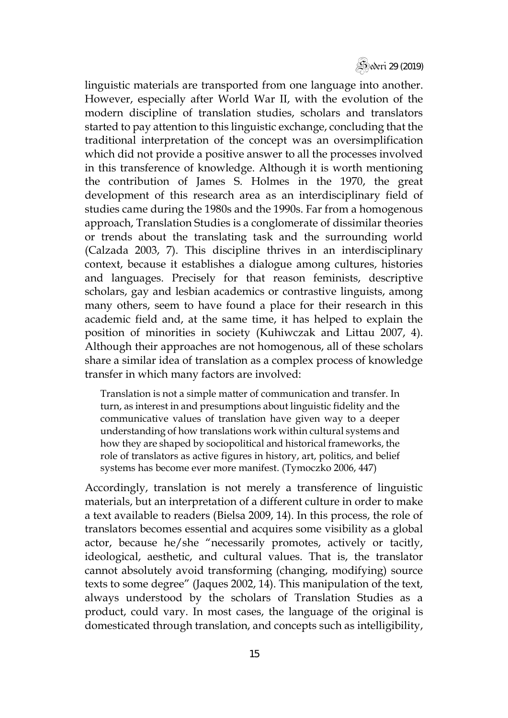

linguistic materials are transported from one language into another. However, especially after World War II, with the evolution of the modern discipline of translation studies, scholars and translators started to pay attention to this linguistic exchange, concluding that the traditional interpretation of the concept was an oversimplification which did not provide a positive answer to all the processes involved in this transference of knowledge. Although it is worth mentioning the contribution of James S. Holmes in the 1970, the great development of this research area as an interdisciplinary field of studies came during the 1980s and the 1990s. Far from a homogenous approach, Translation Studies is a conglomerate of dissimilar theories or trends about the translating task and the surrounding world (Calzada 2003, 7). This discipline thrives in an interdisciplinary context, because it establishes a dialogue among cultures, histories and languages. Precisely for that reason feminists, descriptive scholars, gay and lesbian academics or contrastive linguists, among many others, seem to have found a place for their research in this academic field and, at the same time, it has helped to explain the position of minorities in society (Kuhiwczak and Littau 2007, 4). Although their approaches are not homogenous, all of these scholars share a similar idea of translation as a complex process of knowledge transfer in which many factors are involved:

Translation is not a simple matter of communication and transfer. In turn, as interest in and presumptions about linguistic fidelity and the communicative values of translation have given way to a deeper understanding of how translations work within cultural systems and how they are shaped by sociopolitical and historical frameworks, the role of translators as active figures in history, art, politics, and belief systems has become ever more manifest. (Tymoczko 2006, 447)

Accordingly, translation is not merely a transference of linguistic materials, but an interpretation of a different culture in order to make a text available to readers (Bielsa 2009, 14). In this process, the role of translators becomes essential and acquires some visibility as a global actor, because he/she "necessarily promotes, actively or tacitly, ideological, aesthetic, and cultural values. That is, the translator cannot absolutely avoid transforming (changing, modifying) source texts to some degree" (Jaques 2002, 14). This manipulation of the text, always understood by the scholars of Translation Studies as a product, could vary. In most cases, the language of the original is domesticated through translation, and concepts such as intelligibility,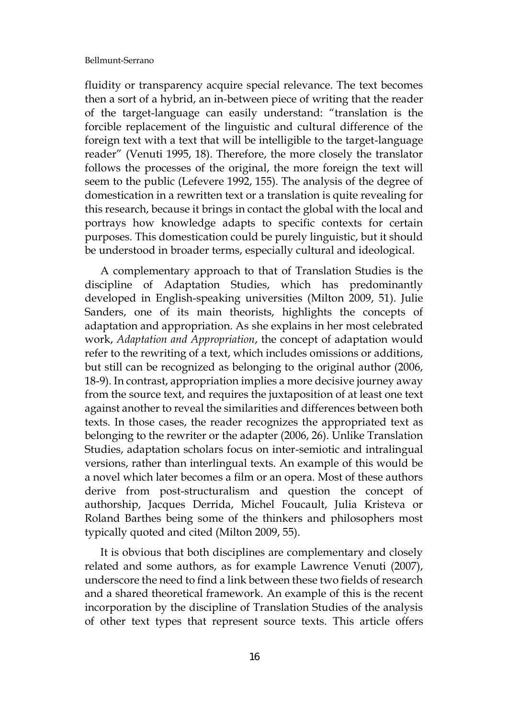fluidity or transparency acquire special relevance. The text becomes then a sort of a hybrid, an in-between piece of writing that the reader of the target-language can easily understand: "translation is the forcible replacement of the linguistic and cultural difference of the foreign text with a text that will be intelligible to the target-language reader" (Venuti 1995, 18). Therefore, the more closely the translator follows the processes of the original, the more foreign the text will seem to the public (Lefevere 1992, 155). The analysis of the degree of domestication in a rewritten text or a translation is quite revealing for this research, because it brings in contact the global with the local and portrays how knowledge adapts to specific contexts for certain purposes. This domestication could be purely linguistic, but it should be understood in broader terms, especially cultural and ideological.

A complementary approach to that of Translation Studies is the discipline of Adaptation Studies, which has predominantly developed in English-speaking universities (Milton 2009, 51). Julie Sanders, one of its main theorists, highlights the concepts of adaptation and appropriation. As she explains in her most celebrated work, *Adaptation and Appropriation*, the concept of adaptation would refer to the rewriting of a text, which includes omissions or additions, but still can be recognized as belonging to the original author (2006, 18-9). In contrast, appropriation implies a more decisive journey away from the source text, and requires the juxtaposition of at least one text against another to reveal the similarities and differences between both texts. In those cases, the reader recognizes the appropriated text as belonging to the rewriter or the adapter (2006, 26). Unlike Translation Studies, adaptation scholars focus on inter-semiotic and intralingual versions, rather than interlingual texts. An example of this would be a novel which later becomes a film or an opera. Most of these authors derive from post-structuralism and question the concept of authorship, Jacques Derrida, Michel Foucault, Julia Kristeva or Roland Barthes being some of the thinkers and philosophers most typically quoted and cited (Milton 2009, 55).

It is obvious that both disciplines are complementary and closely related and some authors, as for example Lawrence Venuti (2007), underscore the need to find a link between these two fields of research and a shared theoretical framework. An example of this is the recent incorporation by the discipline of Translation Studies of the analysis of other text types that represent source texts. This article offers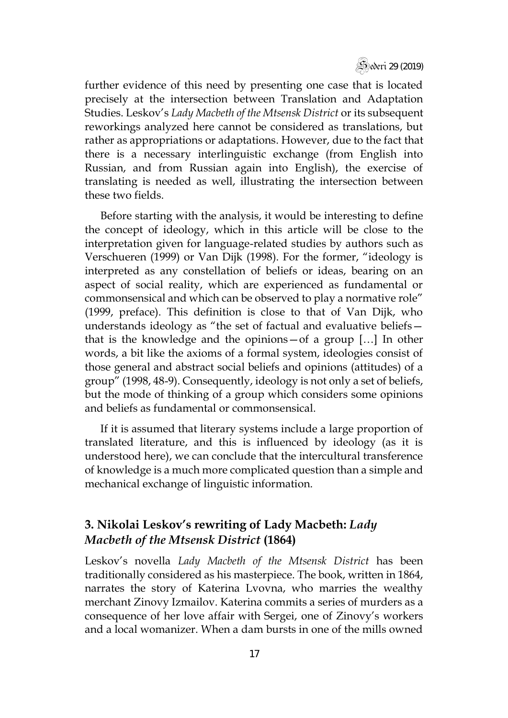

further evidence of this need by presenting one case that is located precisely at the intersection between Translation and Adaptation Studies. Leskov's *Lady Macbeth of the Mtsensk District* or its subsequent reworkings analyzed here cannot be considered as translations, but rather as appropriations or adaptations. However, due to the fact that there is a necessary interlinguistic exchange (from English into Russian, and from Russian again into English), the exercise of translating is needed as well, illustrating the intersection between these two fields.

Before starting with the analysis, it would be interesting to define the concept of ideology, which in this article will be close to the interpretation given for language-related studies by authors such as Verschueren (1999) or Van Dijk (1998). For the former, "ideology is interpreted as any constellation of beliefs or ideas, bearing on an aspect of social reality, which are experienced as fundamental or commonsensical and which can be observed to play a normative role" (1999, preface). This definition is close to that of Van Dijk, who understands ideology as "the set of factual and evaluative beliefs that is the knowledge and the opinions—of a group […] In other words, a bit like the axioms of a formal system, ideologies consist of those general and abstract social beliefs and opinions (attitudes) of a group" (1998, 48-9). Consequently, ideology is not only a set of beliefs, but the mode of thinking of a group which considers some opinions and beliefs as fundamental or commonsensical.

If it is assumed that literary systems include a large proportion of translated literature, and this is influenced by ideology (as it is understood here), we can conclude that the intercultural transference of knowledge is a much more complicated question than a simple and mechanical exchange of linguistic information.

## **3. Nikolai Leskov's rewriting of Lady Macbeth:** *Lady Macbeth of the Mtsensk District* **(1864)**

Leskov's novella *Lady Macbeth of the Mtsensk District* has been traditionally considered as his masterpiece. The book, written in 1864, narrates the story of Katerina Lvovna, who marries the wealthy merchant Zinovy Izmailov. Katerina commits a series of murders as a consequence of her love affair with Sergei, one of Zinovy's workers and a local womanizer. When a dam bursts in one of the mills owned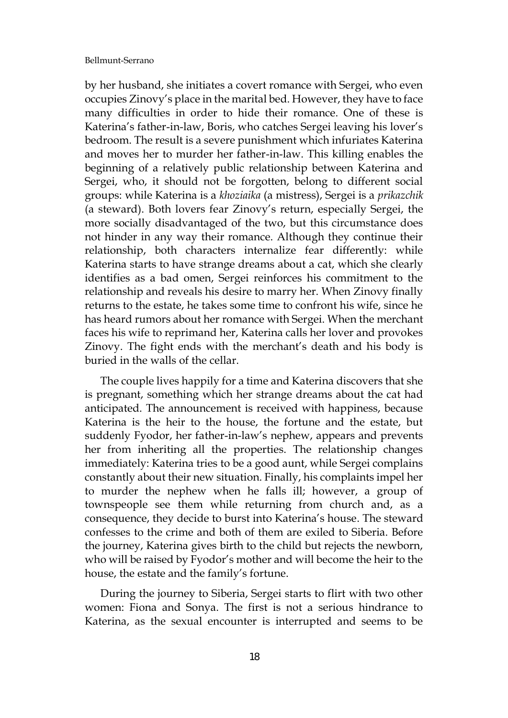by her husband, she initiates a covert romance with Sergei, who even occupies Zinovy's place in the marital bed. However, they have to face many difficulties in order to hide their romance. One of these is Katerina's father-in-law, Boris, who catches Sergei leaving his lover's bedroom. The result is a severe punishment which infuriates Katerina and moves her to murder her father-in-law. This killing enables the beginning of a relatively public relationship between Katerina and Sergei, who, it should not be forgotten, belong to different social groups: while Katerina is a *khoziaika* (a mistress), Sergei is a *prikazchik*  (a steward). Both lovers fear Zinovy's return, especially Sergei, the more socially disadvantaged of the two, but this circumstance does not hinder in any way their romance. Although they continue their relationship, both characters internalize fear differently: while Katerina starts to have strange dreams about a cat, which she clearly identifies as a bad omen, Sergei reinforces his commitment to the relationship and reveals his desire to marry her. When Zinovy finally returns to the estate, he takes some time to confront his wife, since he has heard rumors about her romance with Sergei. When the merchant faces his wife to reprimand her, Katerina calls her lover and provokes Zinovy. The fight ends with the merchant's death and his body is buried in the walls of the cellar.

The couple lives happily for a time and Katerina discovers that she is pregnant, something which her strange dreams about the cat had anticipated. The announcement is received with happiness, because Katerina is the heir to the house, the fortune and the estate, but suddenly Fyodor, her father-in-law's nephew, appears and prevents her from inheriting all the properties. The relationship changes immediately: Katerina tries to be a good aunt, while Sergei complains constantly about their new situation. Finally, his complaints impel her to murder the nephew when he falls ill; however, a group of townspeople see them while returning from church and, as a consequence, they decide to burst into Katerina's house. The steward confesses to the crime and both of them are exiled to Siberia. Before the journey, Katerina gives birth to the child but rejects the newborn, who will be raised by Fyodor's mother and will become the heir to the house, the estate and the family's fortune.

During the journey to Siberia, Sergei starts to flirt with two other women: Fiona and Sonya. The first is not a serious hindrance to Katerina, as the sexual encounter is interrupted and seems to be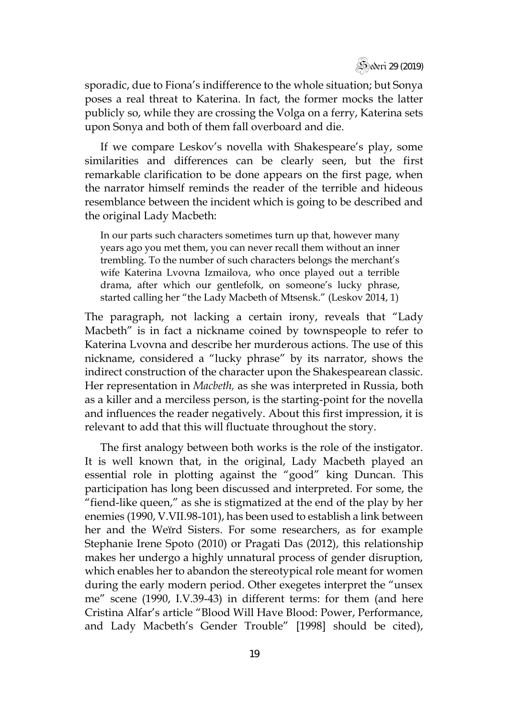sporadic, due to Fiona's indifference to the whole situation; but Sonya poses a real threat to Katerina. In fact, the former mocks the latter publicly so, while they are crossing the Volga on a ferry, Katerina sets upon Sonya and both of them fall overboard and die.

If we compare Leskov's novella with Shakespeare's play, some similarities and differences can be clearly seen, but the first remarkable clarification to be done appears on the first page, when the narrator himself reminds the reader of the terrible and hideous resemblance between the incident which is going to be described and the original Lady Macbeth:

In our parts such characters sometimes turn up that, however many years ago you met them, you can never recall them without an inner trembling. To the number of such characters belongs the merchant's wife Katerina Lvovna Izmailova, who once played out a terrible drama, after which our gentlefolk, on someone's lucky phrase, started calling her "the Lady Macbeth of Mtsensk." (Leskov 2014, 1)

The paragraph, not lacking a certain irony, reveals that "Lady Macbeth" is in fact a nickname coined by townspeople to refer to Katerina Lvovna and describe her murderous actions. The use of this nickname, considered a "lucky phrase" by its narrator, shows the indirect construction of the character upon the Shakespearean classic. Her representation in *Macbeth,* as she was interpreted in Russia, both as a killer and a merciless person, is the starting-point for the novella and influences the reader negatively. About this first impression, it is relevant to add that this will fluctuate throughout the story.

The first analogy between both works is the role of the instigator. It is well known that, in the original, Lady Macbeth played an essential role in plotting against the "good" king Duncan. This participation has long been discussed and interpreted. For some, the "fiend-like queen," as she is stigmatized at the end of the play by her enemies (1990, V.VII.98-101), has been used to establish a link between her and the Weïrd Sisters. For some researchers, as for example Stephanie Irene Spoto (2010) or Pragati Das (2012), this relationship makes her undergo a highly unnatural process of gender disruption, which enables her to abandon the stereotypical role meant for women during the early modern period. Other exegetes interpret the "unsex me" scene (1990, I.V.39-43) in different terms: for them (and here Cristina Alfar's article "Blood Will Have Blood: Power, Performance, and Lady Macbeth's Gender Trouble" [1998] should be cited),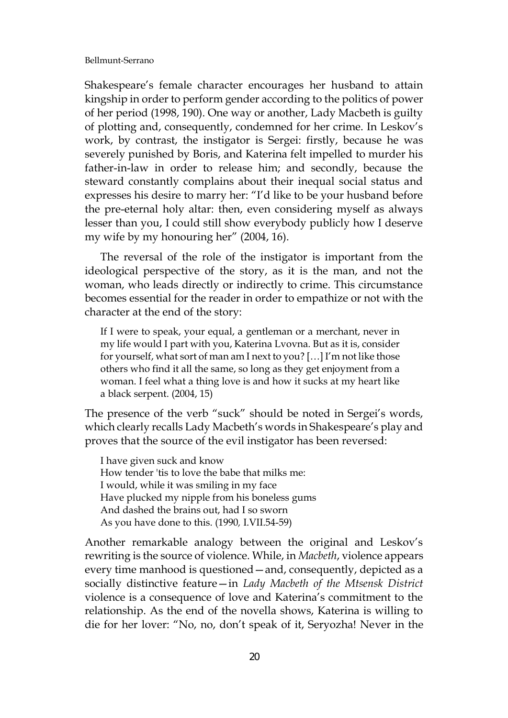Shakespeare's female character encourages her husband to attain kingship in order to perform gender according to the politics of power of her period (1998, 190). One way or another, Lady Macbeth is guilty of plotting and, consequently, condemned for her crime. In Leskov's work, by contrast, the instigator is Sergei: firstly, because he was severely punished by Boris, and Katerina felt impelled to murder his father-in-law in order to release him; and secondly, because the steward constantly complains about their inequal social status and expresses his desire to marry her: "I'd like to be your husband before the pre-eternal holy altar: then, even considering myself as always lesser than you, I could still show everybody publicly how I deserve my wife by my honouring her" (2004, 16).

The reversal of the role of the instigator is important from the ideological perspective of the story, as it is the man, and not the woman, who leads directly or indirectly to crime. This circumstance becomes essential for the reader in order to empathize or not with the character at the end of the story:

If I were to speak, your equal, a gentleman or a merchant, never in my life would I part with you, Katerina Lvovna. But as it is, consider for yourself, what sort of man am I next to you? […] I'm not like those others who find it all the same, so long as they get enjoyment from a woman. I feel what a thing love is and how it sucks at my heart like a black serpent. (2004, 15)

The presence of the verb "suck" should be noted in Sergei's words, which clearly recalls Lady Macbeth's words in Shakespeare's play and proves that the source of the evil instigator has been reversed:

I have given suck and know How tender 'tis to love the babe that milks me: I would, while it was smiling in my face Have plucked my nipple from his boneless gums And dashed the brains out, had I so sworn As you have done to this. (1990*,* I.VII.54-59)

Another remarkable analogy between the original and Leskov's rewriting is the source of violence. While, in *Macbeth*, violence appears every time manhood is questioned—and, consequently, depicted as a socially distinctive feature—in *Lady Macbeth of the Mtsensk District*  violence is a consequence of love and Katerina's commitment to the relationship. As the end of the novella shows, Katerina is willing to die for her lover: "No, no, don't speak of it, Seryozha! Never in the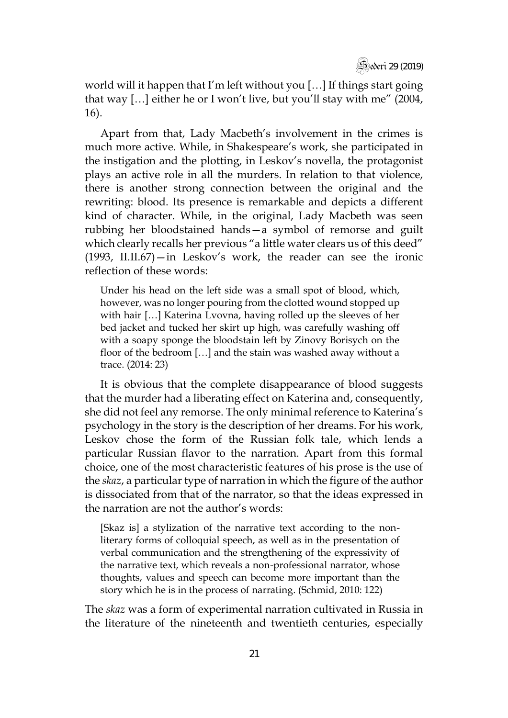

world will it happen that I'm left without you […] If things start going that way […] either he or I won't live, but you'll stay with me" (2004, 16).

Apart from that, Lady Macbeth's involvement in the crimes is much more active. While, in Shakespeare's work, she participated in the instigation and the plotting, in Leskov's novella, the protagonist plays an active role in all the murders. In relation to that violence, there is another strong connection between the original and the rewriting: blood. Its presence is remarkable and depicts a different kind of character. While, in the original, Lady Macbeth was seen rubbing her bloodstained hands—a symbol of remorse and guilt which clearly recalls her previous "a little water clears us of this deed" (1993, II.II.67)—in Leskov's work, the reader can see the ironic reflection of these words:

Under his head on the left side was a small spot of blood, which, however, was no longer pouring from the clotted wound stopped up with hair […] Katerina Lvovna, having rolled up the sleeves of her bed jacket and tucked her skirt up high, was carefully washing off with a soapy sponge the bloodstain left by Zinovy Borisych on the floor of the bedroom […] and the stain was washed away without a trace. (2014: 23)

It is obvious that the complete disappearance of blood suggests that the murder had a liberating effect on Katerina and, consequently, she did not feel any remorse. The only minimal reference to Katerina's psychology in the story is the description of her dreams. For his work, Leskov chose the form of the Russian folk tale, which lends a particular Russian flavor to the narration. Apart from this formal choice, one of the most characteristic features of his prose is the use of the *skaz*, a particular type of narration in which the figure of the author is dissociated from that of the narrator, so that the ideas expressed in the narration are not the author's words:

[Skaz is] a stylization of the narrative text according to the nonliterary forms of colloquial speech, as well as in the presentation of verbal communication and the strengthening of the expressivity of the narrative text, which reveals a non-professional narrator, whose thoughts, values and speech can become more important than the story which he is in the process of narrating. (Schmid, 2010: 122)

The *skaz* was a form of experimental narration cultivated in Russia in the literature of the nineteenth and twentieth centuries, especially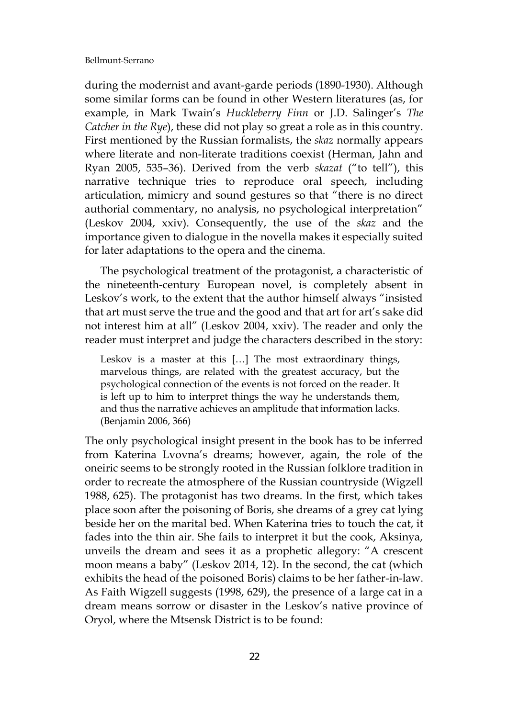during the modernist and avant-garde periods (1890-1930). Although some similar forms can be found in other Western literatures (as, for example, in Mark Twain's *Huckleberry Finn* or J.D. Salinger's *The Catcher in the Rye*), these did not play so great a role as in this country. First mentioned by the Russian formalists, the *skaz* normally appears where literate and non-literate traditions coexist (Herman, Jahn and Ryan 2005, 535–36). Derived from the verb *skazat* ("to tell"), this narrative technique tries to reproduce oral speech, including articulation, mimicry and sound gestures so that "there is no direct authorial commentary, no analysis, no psychological interpretation" (Leskov 2004, xxiv). Consequently, the use of the *skaz* and the importance given to dialogue in the novella makes it especially suited for later adaptations to the opera and the cinema.

The psychological treatment of the protagonist, a characteristic of the nineteenth-century European novel, is completely absent in Leskov's work, to the extent that the author himself always "insisted that art must serve the true and the good and that art for art's sake did not interest him at all" (Leskov 2004, xxiv). The reader and only the reader must interpret and judge the characters described in the story:

Leskov is a master at this […] The most extraordinary things, marvelous things, are related with the greatest accuracy, but the psychological connection of the events is not forced on the reader. It is left up to him to interpret things the way he understands them, and thus the narrative achieves an amplitude that information lacks. (Benjamin 2006, 366)

The only psychological insight present in the book has to be inferred from Katerina Lvovna's dreams; however, again, the role of the oneiric seems to be strongly rooted in the Russian folklore tradition in order to recreate the atmosphere of the Russian countryside (Wigzell 1988, 625). The protagonist has two dreams. In the first, which takes place soon after the poisoning of Boris, she dreams of a grey cat lying beside her on the marital bed. When Katerina tries to touch the cat, it fades into the thin air. She fails to interpret it but the cook, Aksinya, unveils the dream and sees it as a prophetic allegory: "A crescent moon means a baby" (Leskov 2014, 12). In the second, the cat (which exhibits the head of the poisoned Boris) claims to be her father-in-law. As Faith Wigzell suggests (1998, 629), the presence of a large cat in a dream means sorrow or disaster in the Leskov's native province of Oryol, where the Mtsensk District is to be found: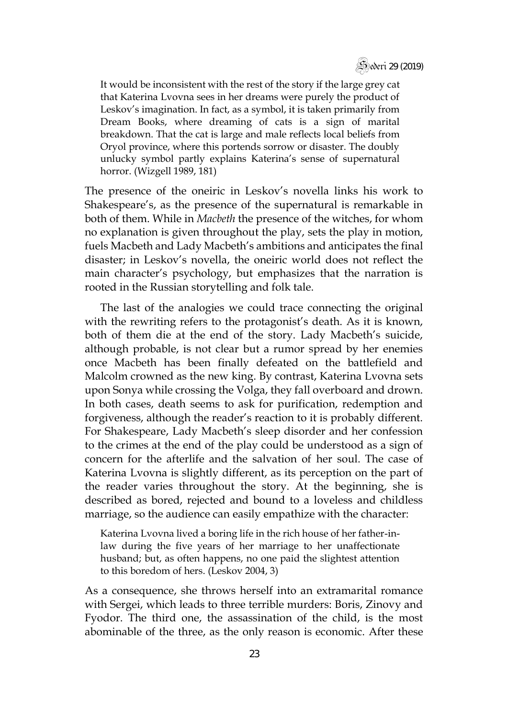

It would be inconsistent with the rest of the story if the large grey cat that Katerina Lvovna sees in her dreams were purely the product of Leskov's imagination. In fact, as a symbol, it is taken primarily from Dream Books, where dreaming of cats is a sign of marital breakdown. That the cat is large and male reflects local beliefs from Oryol province, where this portends sorrow or disaster. The doubly unlucky symbol partly explains Katerina's sense of supernatural horror. (Wizgell 1989, 181)

The presence of the oneiric in Leskov's novella links his work to Shakespeare's, as the presence of the supernatural is remarkable in both of them. While in *Macbeth* the presence of the witches, for whom no explanation is given throughout the play, sets the play in motion, fuels Macbeth and Lady Macbeth's ambitions and anticipates the final disaster; in Leskov's novella, the oneiric world does not reflect the main character's psychology, but emphasizes that the narration is rooted in the Russian storytelling and folk tale.

The last of the analogies we could trace connecting the original with the rewriting refers to the protagonist's death. As it is known, both of them die at the end of the story. Lady Macbeth's suicide, although probable, is not clear but a rumor spread by her enemies once Macbeth has been finally defeated on the battlefield and Malcolm crowned as the new king. By contrast, Katerina Lvovna sets upon Sonya while crossing the Volga, they fall overboard and drown. In both cases, death seems to ask for purification, redemption and forgiveness, although the reader's reaction to it is probably different. For Shakespeare, Lady Macbeth's sleep disorder and her confession to the crimes at the end of the play could be understood as a sign of concern for the afterlife and the salvation of her soul. The case of Katerina Lvovna is slightly different, as its perception on the part of the reader varies throughout the story. At the beginning, she is described as bored, rejected and bound to a loveless and childless marriage, so the audience can easily empathize with the character:

Katerina Lvovna lived a boring life in the rich house of her father-inlaw during the five years of her marriage to her unaffectionate husband; but, as often happens, no one paid the slightest attention to this boredom of hers. (Leskov 2004, 3)

As a consequence, she throws herself into an extramarital romance with Sergei, which leads to three terrible murders: Boris, Zinovy and Fyodor. The third one, the assassination of the child, is the most abominable of the three, as the only reason is economic. After these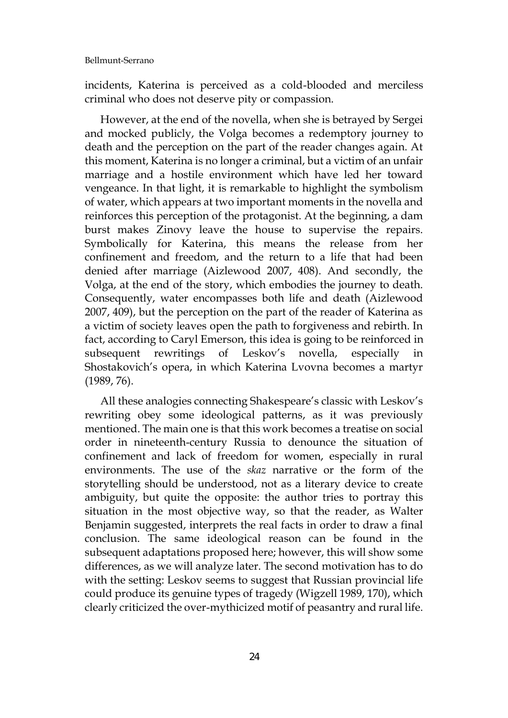incidents, Katerina is perceived as a cold-blooded and merciless criminal who does not deserve pity or compassion.

However, at the end of the novella, when she is betrayed by Sergei and mocked publicly, the Volga becomes a redemptory journey to death and the perception on the part of the reader changes again. At this moment, Katerina is no longer a criminal, but a victim of an unfair marriage and a hostile environment which have led her toward vengeance. In that light, it is remarkable to highlight the symbolism of water, which appears at two important moments in the novella and reinforces this perception of the protagonist. At the beginning, a dam burst makes Zinovy leave the house to supervise the repairs. Symbolically for Katerina, this means the release from her confinement and freedom, and the return to a life that had been denied after marriage (Aizlewood 2007, 408). And secondly, the Volga, at the end of the story, which embodies the journey to death. Consequently, water encompasses both life and death (Aizlewood 2007, 409), but the perception on the part of the reader of Katerina as a victim of society leaves open the path to forgiveness and rebirth. In fact, according to Caryl Emerson, this idea is going to be reinforced in subsequent rewritings of Leskov's novella, especially in Shostakovich's opera, in which Katerina Lvovna becomes a martyr (1989, 76).

All these analogies connecting Shakespeare's classic with Leskov's rewriting obey some ideological patterns, as it was previously mentioned. The main one is that this work becomes a treatise on social order in nineteenth-century Russia to denounce the situation of confinement and lack of freedom for women, especially in rural environments. The use of the *skaz* narrative or the form of the storytelling should be understood, not as a literary device to create ambiguity, but quite the opposite: the author tries to portray this situation in the most objective way, so that the reader, as Walter Benjamin suggested, interprets the real facts in order to draw a final conclusion. The same ideological reason can be found in the subsequent adaptations proposed here; however, this will show some differences, as we will analyze later. The second motivation has to do with the setting: Leskov seems to suggest that Russian provincial life could produce its genuine types of tragedy (Wigzell 1989, 170), which clearly criticized the over-mythicized motif of peasantry and rural life.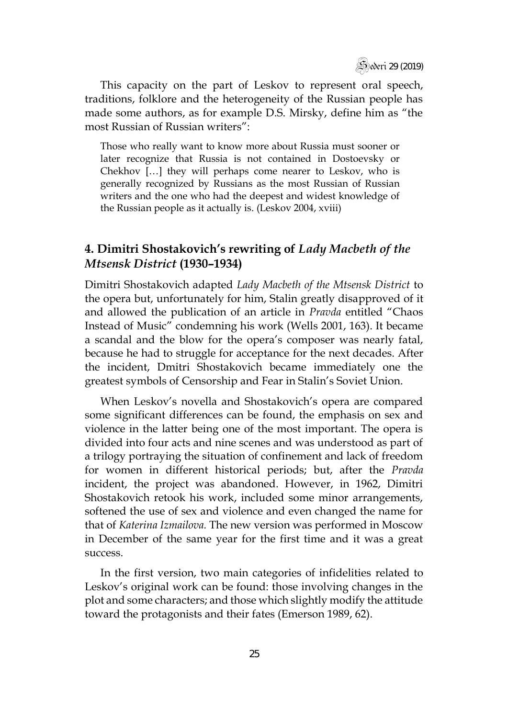Sederi 29 (2019)

This capacity on the part of Leskov to represent oral speech, traditions, folklore and the heterogeneity of the Russian people has made some authors, as for example D.S. Mirsky, define him as "the most Russian of Russian writers":

Those who really want to know more about Russia must sooner or later recognize that Russia is not contained in Dostoevsky or Chekhov […] they will perhaps come nearer to Leskov, who is generally recognized by Russians as the most Russian of Russian writers and the one who had the deepest and widest knowledge of the Russian people as it actually is. (Leskov 2004, xviii)

### **4. Dimitri Shostakovich's rewriting of** *Lady Macbeth of the Mtsensk District* **(1930–1934)**

Dimitri Shostakovich adapted *Lady Macbeth of the Mtsensk District* to the opera but, unfortunately for him, Stalin greatly disapproved of it and allowed the publication of an article in *Pravda* entitled "Chaos Instead of Music" condemning his work (Wells 2001, 163). It became a scandal and the blow for the opera's composer was nearly fatal, because he had to struggle for acceptance for the next decades. After the incident, Dmitri Shostakovich became immediately one the greatest symbols of Censorship and Fear in Stalin's Soviet Union.

When Leskov's novella and Shostakovich's opera are compared some significant differences can be found, the emphasis on sex and violence in the latter being one of the most important. The opera is divided into four acts and nine scenes and was understood as part of a trilogy portraying the situation of confinement and lack of freedom for women in different historical periods; but, after the *Pravda*  incident, the project was abandoned. However, in 1962, Dimitri Shostakovich retook his work, included some minor arrangements, softened the use of sex and violence and even changed the name for that of *Katerina Izmailova.* The new version was performed in Moscow in December of the same year for the first time and it was a great success.

In the first version, two main categories of infidelities related to Leskov's original work can be found: those involving changes in the plot and some characters; and those which slightly modify the attitude toward the protagonists and their fates (Emerson 1989, 62).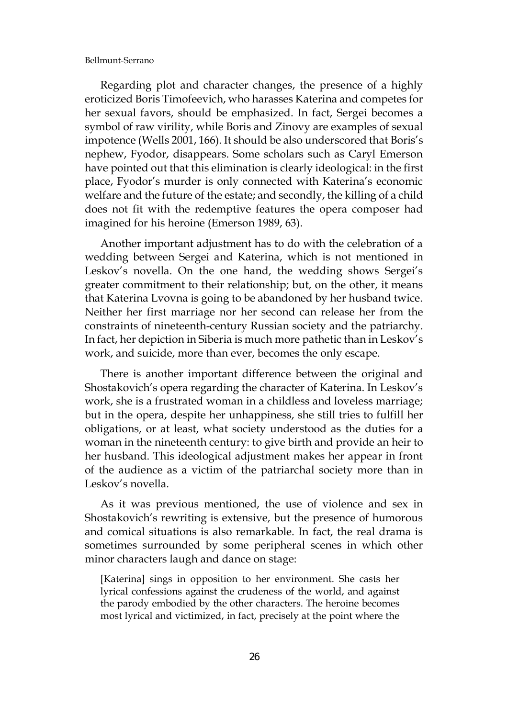Regarding plot and character changes, the presence of a highly eroticized Boris Timofeevich, who harasses Katerina and competes for her sexual favors, should be emphasized. In fact, Sergei becomes a symbol of raw virility, while Boris and Zinovy are examples of sexual impotence (Wells 2001, 166). It should be also underscored that Boris's nephew, Fyodor, disappears. Some scholars such as Caryl Emerson have pointed out that this elimination is clearly ideological: in the first place, Fyodor's murder is only connected with Katerina's economic welfare and the future of the estate; and secondly, the killing of a child does not fit with the redemptive features the opera composer had imagined for his heroine (Emerson 1989, 63).

Another important adjustment has to do with the celebration of a wedding between Sergei and Katerina, which is not mentioned in Leskov's novella. On the one hand, the wedding shows Sergei's greater commitment to their relationship; but, on the other, it means that Katerina Lvovna is going to be abandoned by her husband twice. Neither her first marriage nor her second can release her from the constraints of nineteenth-century Russian society and the patriarchy. In fact, her depiction in Siberia is much more pathetic than in Leskov's work, and suicide, more than ever, becomes the only escape.

There is another important difference between the original and Shostakovich's opera regarding the character of Katerina. In Leskov's work, she is a frustrated woman in a childless and loveless marriage; but in the opera, despite her unhappiness, she still tries to fulfill her obligations, or at least, what society understood as the duties for a woman in the nineteenth century: to give birth and provide an heir to her husband. This ideological adjustment makes her appear in front of the audience as a victim of the patriarchal society more than in Leskov's novella.

As it was previous mentioned, the use of violence and sex in Shostakovich's rewriting is extensive, but the presence of humorous and comical situations is also remarkable. In fact, the real drama is sometimes surrounded by some peripheral scenes in which other minor characters laugh and dance on stage:

[Katerina] sings in opposition to her environment. She casts her lyrical confessions against the crudeness of the world, and against the parody embodied by the other characters. The heroine becomes most lyrical and victimized, in fact, precisely at the point where the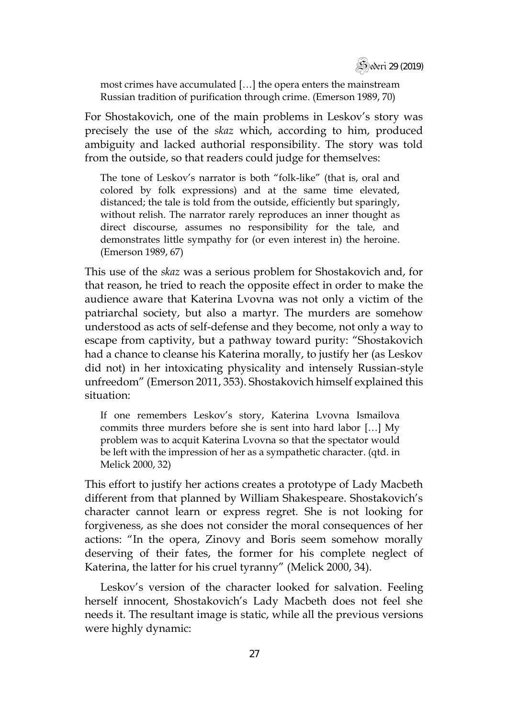

most crimes have accumulated […] the opera enters the mainstream Russian tradition of purification through crime. (Emerson 1989, 70)

For Shostakovich, one of the main problems in Leskov's story was precisely the use of the *skaz* which, according to him, produced ambiguity and lacked authorial responsibility. The story was told from the outside, so that readers could judge for themselves:

The tone of Leskov's narrator is both "folk-like" (that is, oral and colored by folk expressions) and at the same time elevated, distanced; the tale is told from the outside, efficiently but sparingly, without relish. The narrator rarely reproduces an inner thought as direct discourse, assumes no responsibility for the tale, and demonstrates little sympathy for (or even interest in) the heroine. (Emerson 1989, 67)

This use of the *skaz* was a serious problem for Shostakovich and, for that reason, he tried to reach the opposite effect in order to make the audience aware that Katerina Lvovna was not only a victim of the patriarchal society, but also a martyr. The murders are somehow understood as acts of self-defense and they become, not only a way to escape from captivity, but a pathway toward purity: "Shostakovich had a chance to cleanse his Katerina morally, to justify her (as Leskov did not) in her intoxicating physicality and intensely Russian-style unfreedom" (Emerson 2011, 353). Shostakovich himself explained this situation:

If one remembers Leskov's story, Katerina Lvovna Ismailova commits three murders before she is sent into hard labor […] My problem was to acquit Katerina Lvovna so that the spectator would be left with the impression of her as a sympathetic character. (qtd. in Melick 2000, 32)

This effort to justify her actions creates a prototype of Lady Macbeth different from that planned by William Shakespeare. Shostakovich's character cannot learn or express regret. She is not looking for forgiveness, as she does not consider the moral consequences of her actions: "In the opera, Zinovy and Boris seem somehow morally deserving of their fates, the former for his complete neglect of Katerina, the latter for his cruel tyranny" (Melick 2000, 34).

Leskov's version of the character looked for salvation. Feeling herself innocent, Shostakovich's Lady Macbeth does not feel she needs it. The resultant image is static, while all the previous versions were highly dynamic: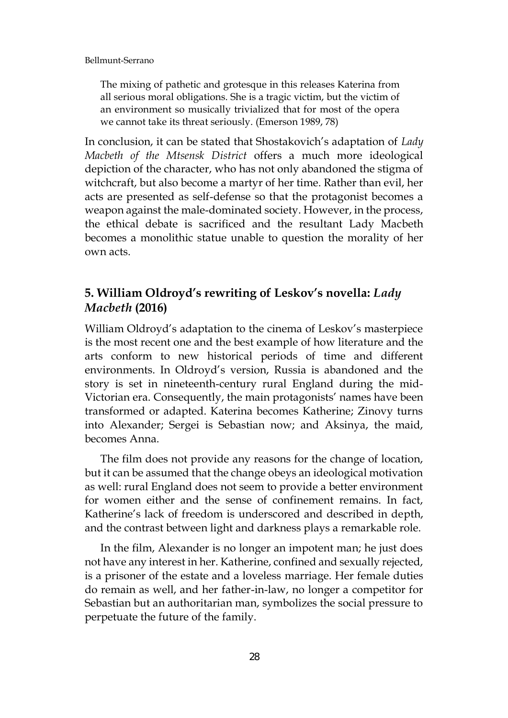The mixing of pathetic and grotesque in this releases Katerina from all serious moral obligations. She is a tragic victim, but the victim of an environment so musically trivialized that for most of the opera we cannot take its threat seriously. (Emerson 1989, 78)

In conclusion, it can be stated that Shostakovich's adaptation of *Lady Macbeth of the Mtsensk District* offers a much more ideological depiction of the character, who has not only abandoned the stigma of witchcraft, but also become a martyr of her time. Rather than evil, her acts are presented as self-defense so that the protagonist becomes a weapon against the male-dominated society. However, in the process, the ethical debate is sacrificed and the resultant Lady Macbeth becomes a monolithic statue unable to question the morality of her own acts.

# **5. William Oldroyd's rewriting of Leskov's novella:** *Lady Macbeth* **(2016)**

William Oldroyd's adaptation to the cinema of Leskov's masterpiece is the most recent one and the best example of how literature and the arts conform to new historical periods of time and different environments. In Oldroyd's version, Russia is abandoned and the story is set in nineteenth-century rural England during the mid-Victorian era. Consequently, the main protagonists' names have been transformed or adapted. Katerina becomes Katherine; Zinovy turns into Alexander; Sergei is Sebastian now; and Aksinya, the maid, becomes Anna.

The film does not provide any reasons for the change of location, but it can be assumed that the change obeys an ideological motivation as well: rural England does not seem to provide a better environment for women either and the sense of confinement remains. In fact, Katherine's lack of freedom is underscored and described in depth, and the contrast between light and darkness plays a remarkable role.

In the film, Alexander is no longer an impotent man; he just does not have any interest in her. Katherine, confined and sexually rejected, is a prisoner of the estate and a loveless marriage. Her female duties do remain as well, and her father-in-law, no longer a competitor for Sebastian but an authoritarian man, symbolizes the social pressure to perpetuate the future of the family.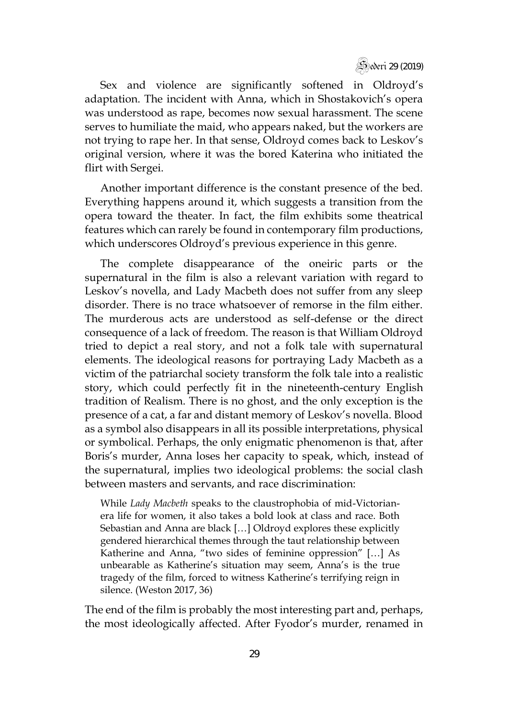

Sex and violence are significantly softened in Oldroyd's adaptation. The incident with Anna, which in Shostakovich's opera was understood as rape, becomes now sexual harassment. The scene serves to humiliate the maid, who appears naked, but the workers are not trying to rape her. In that sense, Oldroyd comes back to Leskov's original version, where it was the bored Katerina who initiated the flirt with Sergei.

Another important difference is the constant presence of the bed. Everything happens around it, which suggests a transition from the opera toward the theater. In fact, the film exhibits some theatrical features which can rarely be found in contemporary film productions, which underscores Oldroyd's previous experience in this genre.

The complete disappearance of the oneiric parts or the supernatural in the film is also a relevant variation with regard to Leskov's novella, and Lady Macbeth does not suffer from any sleep disorder. There is no trace whatsoever of remorse in the film either. The murderous acts are understood as self-defense or the direct consequence of a lack of freedom. The reason is that William Oldroyd tried to depict a real story, and not a folk tale with supernatural elements. The ideological reasons for portraying Lady Macbeth as a victim of the patriarchal society transform the folk tale into a realistic story, which could perfectly fit in the nineteenth-century English tradition of Realism. There is no ghost, and the only exception is the presence of a cat, a far and distant memory of Leskov's novella. Blood as a symbol also disappears in all its possible interpretations, physical or symbolical. Perhaps, the only enigmatic phenomenon is that, after Boris's murder, Anna loses her capacity to speak, which, instead of the supernatural, implies two ideological problems: the social clash between masters and servants, and race discrimination:

While *Lady Macbeth* speaks to the claustrophobia of mid-Victorianera life for women, it also takes a bold look at class and race. Both Sebastian and Anna are black […] Oldroyd explores these explicitly gendered hierarchical themes through the taut relationship between Katherine and Anna, "two sides of feminine oppression" […] As unbearable as Katherine's situation may seem, Anna's is the true tragedy of the film, forced to witness Katherine's terrifying reign in silence. (Weston 2017, 36)

The end of the film is probably the most interesting part and, perhaps, the most ideologically affected. After Fyodor's murder, renamed in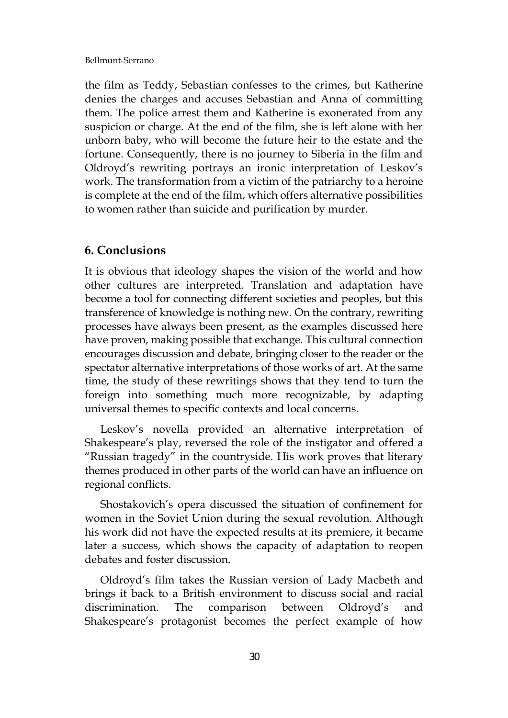the film as Teddy, Sebastian confesses to the crimes, but Katherine denies the charges and accuses Sebastian and Anna of committing them. The police arrest them and Katherine is exonerated from any suspicion or charge. At the end of the film, she is left alone with her unborn baby, who will become the future heir to the estate and the fortune. Consequently, there is no journey to Siberia in the film and Oldroyd's rewriting portrays an ironic interpretation of Leskov's work. The transformation from a victim of the patriarchy to a heroine is complete at the end of the film, which offers alternative possibilities to women rather than suicide and purification by murder.

### **6. Conclusions**

It is obvious that ideology shapes the vision of the world and how other cultures are interpreted. Translation and adaptation have become a tool for connecting different societies and peoples, but this transference of knowledge is nothing new. On the contrary, rewriting processes have always been present, as the examples discussed here have proven, making possible that exchange. This cultural connection encourages discussion and debate, bringing closer to the reader or the spectator alternative interpretations of those works of art. At the same time, the study of these rewritings shows that they tend to turn the foreign into something much more recognizable, by adapting universal themes to specific contexts and local concerns.

Leskov's novella provided an alternative interpretation of Shakespeare's play, reversed the role of the instigator and offered a "Russian tragedy" in the countryside. His work proves that literary themes produced in other parts of the world can have an influence on regional conflicts.

Shostakovich's opera discussed the situation of confinement for women in the Soviet Union during the sexual revolution. Although his work did not have the expected results at its premiere, it became later a success, which shows the capacity of adaptation to reopen debates and foster discussion.

Oldroyd's film takes the Russian version of Lady Macbeth and brings it back to a British environment to discuss social and racial discrimination. The comparison between Oldroyd's and Shakespeare's protagonist becomes the perfect example of how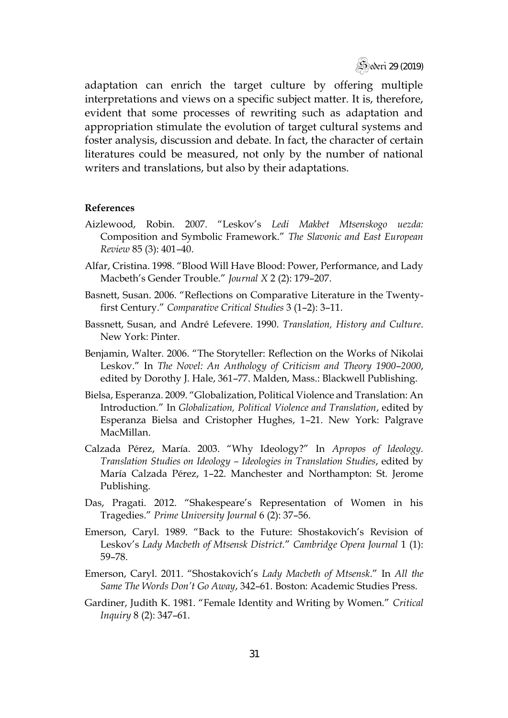

adaptation can enrich the target culture by offering multiple interpretations and views on a specific subject matter. It is, therefore, evident that some processes of rewriting such as adaptation and appropriation stimulate the evolution of target cultural systems and foster analysis, discussion and debate. In fact, the character of certain literatures could be measured, not only by the number of national writers and translations, but also by their adaptations.

#### **References**

- Aizlewood, Robin. 2007. "Leskov's *Ledi Makbet Mtsenskogo uezda:*  Composition and Symbolic Framework." *The Slavonic and East European Review* 85 (3): 401–40.
- Alfar, Cristina. 1998. "Blood Will Have Blood: Power, Performance, and Lady Macbeth's Gender Trouble." *Journal X* 2 (2): 179–207.
- Basnett, Susan. 2006. "Reflections on Comparative Literature in the Twentyfirst Century." *Comparative Critical Studies* 3 (1–2): 3–11.
- Bassnett, Susan, and André Lefevere. 1990. *Translation, History and Culture*. New York: Pinter.
- Benjamin, Walter. 2006. "The Storyteller: Reflection on the Works of Nikolai Leskov." In *The Novel: An Anthology of Criticism and Theory 1900*–*2000*, edited by Dorothy J. Hale, 361–77. Malden, Mass.: Blackwell Publishing.
- Bielsa, Esperanza. 2009. "Globalization, Political Violence and Translation: An Introduction*.*" In *Globalization, Political Violence and Translation*, edited by Esperanza Bielsa and Cristopher Hughes, 1–21. New York: Palgrave MacMillan.
- Calzada Pérez, María. 2003. "Why Ideology?" In *Apropos of Ideology. Translation Studies on Ideology – Ideologies in Translation Studies*, edited by María Calzada Pérez, 1–22. Manchester and Northampton: St. Jerome Publishing.
- Das, Pragati. 2012. "Shakespeare's Representation of Women in his Tragedies." *Prime University Journal* 6 (2): 37–56.
- Emerson, Caryl. 1989. "Back to the Future: Shostakovich's Revision of Leskov's *Lady Macbeth of Mtsensk District.*" *Cambridge Opera Journal* 1 (1): 59–78.
- Emerson, Caryl. 2011. "Shostakovich's *Lady Macbeth of Mtsensk*." In *All the Same The Words Don't Go Away*, 342–61. Boston: Academic Studies Press.
- Gardiner, Judith K. 1981. "Female Identity and Writing by Women." *Critical Inquiry* 8 (2): 347–61.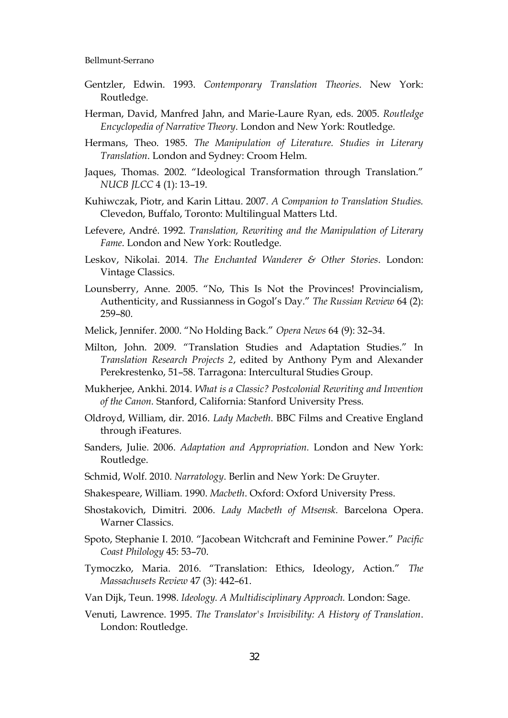- Gentzler, Edwin. 1993. *Contemporary Translation Theories*. New York: Routledge.
- Herman, David, Manfred Jahn, and Marie-Laure Ryan, eds. 2005. *Routledge Encyclopedia of Narrative Theory*. London and New York: Routledge.
- Hermans, Theo. 1985. *The Manipulation of Literature. Studies in Literary Translation*. London and Sydney: Croom Helm.
- Jaques, Thomas. 2002. "Ideological Transformation through Translation." *NUCB JLCC* 4 (1): 13–19.
- Kuhiwczak, Piotr, and Karin Littau. 2007. *A Companion to Translation Studies.*  Clevedon, Buffalo, Toronto: Multilingual Matters Ltd.
- Lefevere, André. 1992. *Translation, Rewriting and the Manipulation of Literary Fame*. London and New York: Routledge.
- Leskov, Nikolai. 2014. *The Enchanted Wanderer & Other Stories*. London: Vintage Classics.
- Lounsberry, Anne. 2005. "No, This Is Not the Provinces! Provincialism, Authenticity, and Russianness in Gogol's Day." *The Russian Review* 64 (2): 259–80.
- Melick, Jennifer. 2000. "No Holding Back." *Opera News* 64 (9): 32–34.
- Milton, John. 2009. "Translation Studies and Adaptation Studies." In *Translation Research Projects 2*, edited by Anthony Pym and Alexander Perekrestenko, 51–58. Tarragona: Intercultural Studies Group.
- Mukherjee, Ankhi. 2014. *What is a Classic? Postcolonial Rewriting and Invention of the Canon.* Stanford, California: Stanford University Press.
- Oldroyd, William, dir. 2016. *Lady Macbeth*. BBC Films and Creative England through iFeatures.
- Sanders, Julie. 2006. *Adaptation and Appropriation.* London and New York: Routledge.
- Schmid, Wolf. 2010. *Narratology*. Berlin and New York: De Gruyter.
- Shakespeare, William. 1990. *Macbeth*. Oxford: Oxford University Press.
- Shostakovich, Dimitri. 2006. *Lady Macbeth of Mtsensk.* Barcelona Opera. Warner Classics.
- Spoto, Stephanie I. 2010. "Jacobean Witchcraft and Feminine Power." *Pacific Coast Philology* 45: 53–70.
- Tymoczko, Maria. 2016. "Translation: Ethics, Ideology, Action." *The Massachusets Review* 47 (3): 442–61.
- Van Dijk, Teun. 1998. *Ideology. A Multidisciplinary Approach.* London: Sage.
- Venuti, Lawrence. 1995. *The Translator's Invisibility: A History of Translation*. London: Routledge.